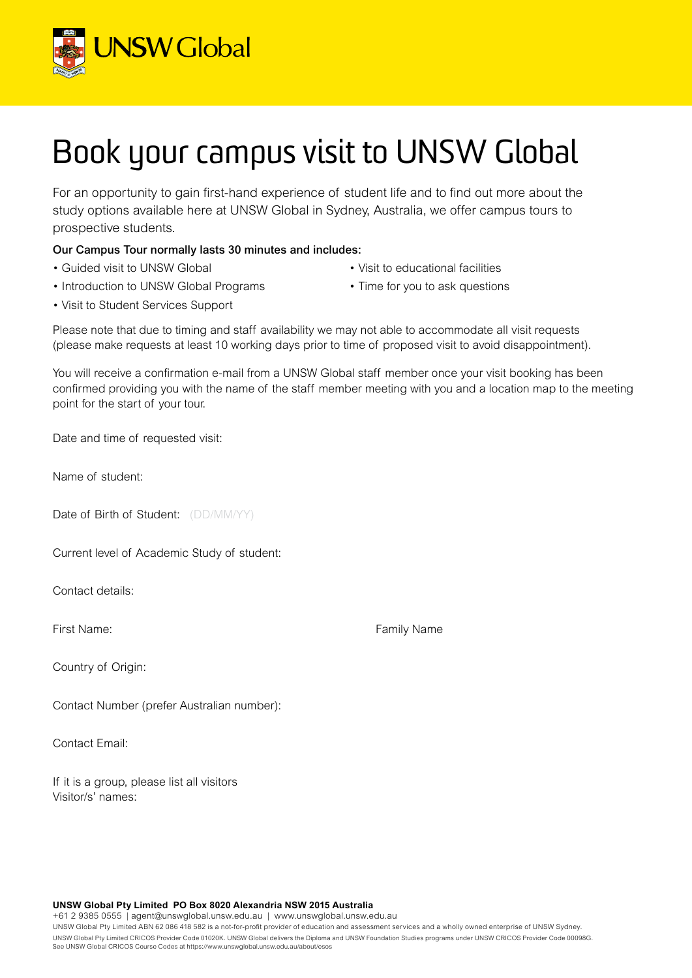

## Book your campus visit to UNSW Global

For an opportunity to gain first-hand experience of student life and to find out more about the study options available here at UNSW Global in Sydney, Australia, we offer campus tours to prospective students.

## Our Campus Tour normally lasts 30 minutes and includes:

- Guided visit to UNSW Global
- Introduction to UNSW Global Programs
- Visit to educational facilities
- Time for you to ask questions

• Visit to Student Services Support

Please note that due to timing and staff availability we may not able to accommodate all visit requests (please make requests at least 10 working days prior to time of proposed visit to avoid disappointment).

You will receive a confirmation e-mail from a UNSW Global staff member once your visit booking has been confirmed providing you with the name of the staff member meeting with you and a location map to the meeting point for the start of your tour.

Date and time of requested visit:

Name of student:

Date of Birth of Student: (DD/MM/YY)

Current level of Academic Study of student:

Contact details:

Country of Origin:

Contact Number (prefer Australian number):

Contact Email:

If it is a group, please list all visitors Visitor/s' names:

First Name: The Contract of the Contract of Tamily Name Family Name

**UNSW Global Pty Limited PO Box 8020 Alexandria NSW 2015 Australia**

+61 2 9385 0555 | agent@unswglobal.unsw.edu.au | www.unswglobal.unsw.edu.au

UNSW Global Pty Limited ABN 62 086 418 582 is a not-for-profit provider of education and assessment services and a wholly owned enterprise of UNSW Sydney. UNSW Global Pty Limited CRICOS Provider Code 01020K. UNSW Global delivers the Diploma and UNSW Foundation Studies programs under UNSW CRICOS Provider Code 00098G. See UNSW Global CRICOS Course Codes at https://www.unswglobal.unsw.edu.au/about/esos